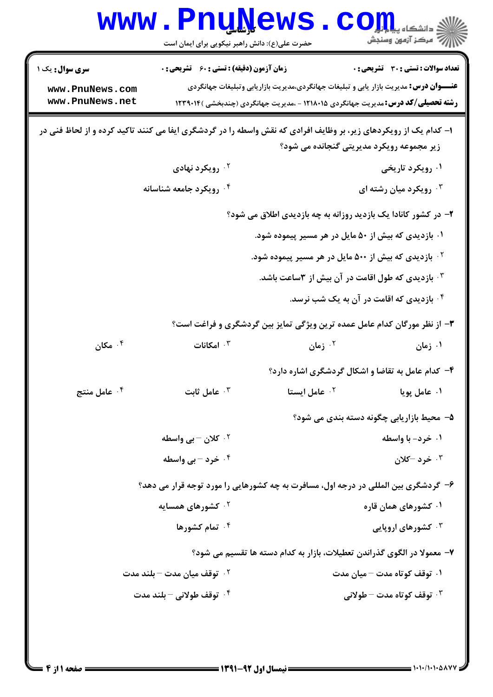| حضرت علی(ع): دانش راهبر نیکویی برای ایمان است<br><b>زمان آزمون (دقیقه) : تستی : 60 ٪ تشریحی : 0</b><br>تعداد سوالات : تستي : 30 ٪ تشريحي : 0<br><b>سری سوال :</b> یک ۱<br><b>عنـــوان درس:</b> مدیریت بازار یابی و تبلیغات جهانگردی،مدیریت بازاریابی وتبلیغات جهانگردی<br>www.PnuNews.com<br>www.PnuNews.net<br><b>رشته تحصیلی/کد درس:</b> مدیریت جهانگردی ۱۲۱۸۰۱۵ - ،مدیریت جهانگردی (چندبخشی )۱۲۳۹۰۱۴<br>۱– کدام یک از رویکردهای زیر، بر وظایف افرادی که نقش واسطه را در گردشگری ایفا می کنند تاکید کرده و از لحاظ فنی در<br>زیر مجموعه رویکرد مدیریتی گنجانده می شود؟<br>۰ <sup>۲</sup> رویکرد نهادی<br>۰۱ رویکرد تاریخی<br>۰۴ رویکرد جامعه شناسانه<br>۰ <sup>۳</sup> رویکرد میان رشته ای<br>۲- در کشور کانادا یک بازدید روزانه به چه بازدیدی اطلاق می شود؟<br>۰۱ بازدیدی که بیش از ۵۰ مایل در هر مسیر پیموده شود.<br>۰ <sup>۲</sup> بازدیدی که بیش از ۵۰۰ مایل در هر مسیر پیموده شود.<br>۰۳ بازدیدی که طول اقامت در آن بیش از ۳ساعت باشد.<br>۰۴ بازدیدی که اقامت در آن به یک شب نرسد.<br>۳- از نظر مورگان کدام عامل عمده ترین ویژگی تمایز بین گردشگری و فراغت است؟<br>مکان $\cdot$ $^{\mathsf{f}}$<br>۰۳ امکانات<br>۰۲ زمان<br>۰۱ زمان<br>۴- کدام عامل به تقاضا و اشکال گردشگری اشاره دارد؟<br>عامل منتج $\cdot$ $^{\mathsf{f}}$<br>عامل ثابت $\cdot$ $^{\circ}$<br>عامل ایستا $\cdot$ ۲<br>۰۱ عامل پویا<br>۵– محیط بازاریابی چگونه دسته بندی می شود؟<br>۰ <sup>۲</sup> کلان – بی واسطه<br>۰۱ خرد- با واسطه<br>۰۴ خرد – بی واسطه<br>۰۳ خرد -کلان<br>۶- گردشگری بین المللی در درجه اول، مسافرت به چه کشورهایی را مورد توجه قرار می دهد؟<br><sup>۲ .</sup> کشورهای همسایه<br>۰۱ کشورهای همان قاره<br>۰۴ تمام کشورها<br><b>۰۳ کشورهای اروپایی</b><br>۷– معمولا در الگوی گذراندن تعطیلات، بازار به کدام دسته ها تقسیم می شود؟<br>۰ <sup>۲</sup> توقف میان مدت – بلند مدت<br>۰۱ توقف کوتاه مدت – میان مدت<br>۰۴ توقف طولاني – بلند مدت<br>توقف کوتاه مدت $-$ طولانی $\cdot$ |  | www.PnuNews |  | اد دانشگاه پیام <mark>تر</mark><br>ا <sup>و</sup> مرکز آزمون وسنجش |  |  |
|----------------------------------------------------------------------------------------------------------------------------------------------------------------------------------------------------------------------------------------------------------------------------------------------------------------------------------------------------------------------------------------------------------------------------------------------------------------------------------------------------------------------------------------------------------------------------------------------------------------------------------------------------------------------------------------------------------------------------------------------------------------------------------------------------------------------------------------------------------------------------------------------------------------------------------------------------------------------------------------------------------------------------------------------------------------------------------------------------------------------------------------------------------------------------------------------------------------------------------------------------------------------------------------------------------------------------------------------------------------------------------------------------------------------------------------------------------------------------------------------------------------------------------------------------------------------------------------------------------------------------------------------------------------------------------------------------------------------------------------------------------------------------------------------------------------------------------------------------------------------------|--|-------------|--|--------------------------------------------------------------------|--|--|
|                                                                                                                                                                                                                                                                                                                                                                                                                                                                                                                                                                                                                                                                                                                                                                                                                                                                                                                                                                                                                                                                                                                                                                                                                                                                                                                                                                                                                                                                                                                                                                                                                                                                                                                                                                                                                                                                            |  |             |  |                                                                    |  |  |
|                                                                                                                                                                                                                                                                                                                                                                                                                                                                                                                                                                                                                                                                                                                                                                                                                                                                                                                                                                                                                                                                                                                                                                                                                                                                                                                                                                                                                                                                                                                                                                                                                                                                                                                                                                                                                                                                            |  |             |  |                                                                    |  |  |
|                                                                                                                                                                                                                                                                                                                                                                                                                                                                                                                                                                                                                                                                                                                                                                                                                                                                                                                                                                                                                                                                                                                                                                                                                                                                                                                                                                                                                                                                                                                                                                                                                                                                                                                                                                                                                                                                            |  |             |  |                                                                    |  |  |
|                                                                                                                                                                                                                                                                                                                                                                                                                                                                                                                                                                                                                                                                                                                                                                                                                                                                                                                                                                                                                                                                                                                                                                                                                                                                                                                                                                                                                                                                                                                                                                                                                                                                                                                                                                                                                                                                            |  |             |  |                                                                    |  |  |
|                                                                                                                                                                                                                                                                                                                                                                                                                                                                                                                                                                                                                                                                                                                                                                                                                                                                                                                                                                                                                                                                                                                                                                                                                                                                                                                                                                                                                                                                                                                                                                                                                                                                                                                                                                                                                                                                            |  |             |  |                                                                    |  |  |
|                                                                                                                                                                                                                                                                                                                                                                                                                                                                                                                                                                                                                                                                                                                                                                                                                                                                                                                                                                                                                                                                                                                                                                                                                                                                                                                                                                                                                                                                                                                                                                                                                                                                                                                                                                                                                                                                            |  |             |  |                                                                    |  |  |
|                                                                                                                                                                                                                                                                                                                                                                                                                                                                                                                                                                                                                                                                                                                                                                                                                                                                                                                                                                                                                                                                                                                                                                                                                                                                                                                                                                                                                                                                                                                                                                                                                                                                                                                                                                                                                                                                            |  |             |  |                                                                    |  |  |
|                                                                                                                                                                                                                                                                                                                                                                                                                                                                                                                                                                                                                                                                                                                                                                                                                                                                                                                                                                                                                                                                                                                                                                                                                                                                                                                                                                                                                                                                                                                                                                                                                                                                                                                                                                                                                                                                            |  |             |  |                                                                    |  |  |
|                                                                                                                                                                                                                                                                                                                                                                                                                                                                                                                                                                                                                                                                                                                                                                                                                                                                                                                                                                                                                                                                                                                                                                                                                                                                                                                                                                                                                                                                                                                                                                                                                                                                                                                                                                                                                                                                            |  |             |  |                                                                    |  |  |
|                                                                                                                                                                                                                                                                                                                                                                                                                                                                                                                                                                                                                                                                                                                                                                                                                                                                                                                                                                                                                                                                                                                                                                                                                                                                                                                                                                                                                                                                                                                                                                                                                                                                                                                                                                                                                                                                            |  |             |  |                                                                    |  |  |
|                                                                                                                                                                                                                                                                                                                                                                                                                                                                                                                                                                                                                                                                                                                                                                                                                                                                                                                                                                                                                                                                                                                                                                                                                                                                                                                                                                                                                                                                                                                                                                                                                                                                                                                                                                                                                                                                            |  |             |  |                                                                    |  |  |
|                                                                                                                                                                                                                                                                                                                                                                                                                                                                                                                                                                                                                                                                                                                                                                                                                                                                                                                                                                                                                                                                                                                                                                                                                                                                                                                                                                                                                                                                                                                                                                                                                                                                                                                                                                                                                                                                            |  |             |  |                                                                    |  |  |
|                                                                                                                                                                                                                                                                                                                                                                                                                                                                                                                                                                                                                                                                                                                                                                                                                                                                                                                                                                                                                                                                                                                                                                                                                                                                                                                                                                                                                                                                                                                                                                                                                                                                                                                                                                                                                                                                            |  |             |  |                                                                    |  |  |
|                                                                                                                                                                                                                                                                                                                                                                                                                                                                                                                                                                                                                                                                                                                                                                                                                                                                                                                                                                                                                                                                                                                                                                                                                                                                                                                                                                                                                                                                                                                                                                                                                                                                                                                                                                                                                                                                            |  |             |  |                                                                    |  |  |
|                                                                                                                                                                                                                                                                                                                                                                                                                                                                                                                                                                                                                                                                                                                                                                                                                                                                                                                                                                                                                                                                                                                                                                                                                                                                                                                                                                                                                                                                                                                                                                                                                                                                                                                                                                                                                                                                            |  |             |  |                                                                    |  |  |
|                                                                                                                                                                                                                                                                                                                                                                                                                                                                                                                                                                                                                                                                                                                                                                                                                                                                                                                                                                                                                                                                                                                                                                                                                                                                                                                                                                                                                                                                                                                                                                                                                                                                                                                                                                                                                                                                            |  |             |  |                                                                    |  |  |
|                                                                                                                                                                                                                                                                                                                                                                                                                                                                                                                                                                                                                                                                                                                                                                                                                                                                                                                                                                                                                                                                                                                                                                                                                                                                                                                                                                                                                                                                                                                                                                                                                                                                                                                                                                                                                                                                            |  |             |  |                                                                    |  |  |
|                                                                                                                                                                                                                                                                                                                                                                                                                                                                                                                                                                                                                                                                                                                                                                                                                                                                                                                                                                                                                                                                                                                                                                                                                                                                                                                                                                                                                                                                                                                                                                                                                                                                                                                                                                                                                                                                            |  |             |  |                                                                    |  |  |
|                                                                                                                                                                                                                                                                                                                                                                                                                                                                                                                                                                                                                                                                                                                                                                                                                                                                                                                                                                                                                                                                                                                                                                                                                                                                                                                                                                                                                                                                                                                                                                                                                                                                                                                                                                                                                                                                            |  |             |  |                                                                    |  |  |
|                                                                                                                                                                                                                                                                                                                                                                                                                                                                                                                                                                                                                                                                                                                                                                                                                                                                                                                                                                                                                                                                                                                                                                                                                                                                                                                                                                                                                                                                                                                                                                                                                                                                                                                                                                                                                                                                            |  |             |  |                                                                    |  |  |
|                                                                                                                                                                                                                                                                                                                                                                                                                                                                                                                                                                                                                                                                                                                                                                                                                                                                                                                                                                                                                                                                                                                                                                                                                                                                                                                                                                                                                                                                                                                                                                                                                                                                                                                                                                                                                                                                            |  |             |  |                                                                    |  |  |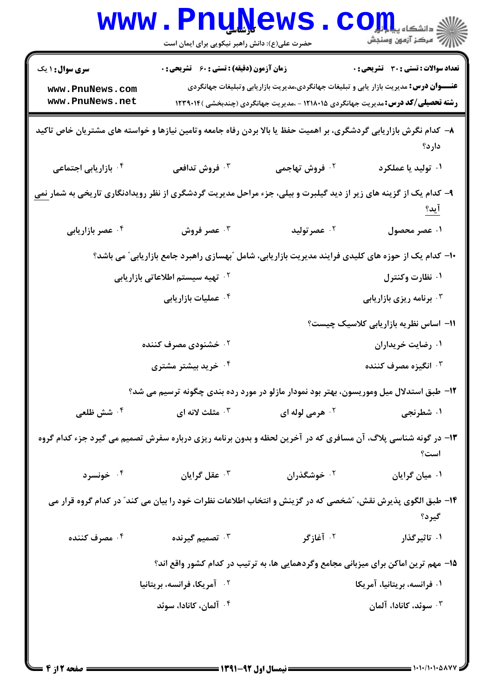|                                                                                                                                    | www.PnuNews<br>حضرت علی(ع): دانش راهبر نیکویی برای ایمان است                                                               |                                                                                               |                                                                                                                                         |  |  |
|------------------------------------------------------------------------------------------------------------------------------------|----------------------------------------------------------------------------------------------------------------------------|-----------------------------------------------------------------------------------------------|-----------------------------------------------------------------------------------------------------------------------------------------|--|--|
| <b>سری سوال : ۱ یک</b><br>www.PnuNews.com<br>www.PnuNews.net                                                                       | زمان آزمون (دقیقه) : تستی : 60 ٪ تشریحی : 0                                                                                | <b>عنــــوان درس:</b> مدیریت بازار یابی و تبلیغات جهانگردی،مدیریت بازاریابی وتبلیغات جهانگردی | <b>تعداد سوالات : تستی : 30 ٪ تشریحی : 0</b><br><b>رشته تحصیلی/کد درس:</b> مدیریت جهانگردی ۱۲۱۸۰۱۵ - ،مدیریت جهانگردی (چندبخشی )۱۲۳۹۰۱۴ |  |  |
|                                                                                                                                    | ۸– کدام نگرش بازاریابی گردشگری، بر اهمیت حفظ یا بالا بردن رفاه جامعه وتامین نیازها و خواسته های مشتریان خاص تاکید<br>دارد؟ |                                                                                               |                                                                                                                                         |  |  |
| ۰ <sup>۴</sup> بازاریابی اجتماعی                                                                                                   | فروش تدافعی $\cdot^{\mathsf{y}}$                                                                                           | ۰ <sup>۲</sup> فروش تهاجمی                                                                    | ۰۱ تولید یا عملکرد                                                                                                                      |  |  |
| ۹- کدام یک از گزینه های زیر از دید گیلبرت و بیلی، جزء مراحل مدیریت گردشگری از نظر رویدادنگاری تاریخی به شما <u>ر نم</u> ی<br>ا ید؟ |                                                                                                                            |                                                                                               |                                                                                                                                         |  |  |
| ۰۴ عصر بازاریابی                                                                                                                   | عصر فروش $\cdot^{\mathtt{y}}$                                                                                              | مصر توليد $\cdot$ ٢                                                                           | ۰۱ عصر محصول                                                                                                                            |  |  |
|                                                                                                                                    | ۱۰– کدام یک از حوزه های کلیدی فرایند مدیریت بازاریابی، شامل "بهسازی راهبرد جامع بازاریابی" می باشد؟                        |                                                                                               |                                                                                                                                         |  |  |
|                                                                                                                                    | <sup>۲</sup> ۰ تهیه سیستم اطلاعاتی بازاریابی                                                                               |                                                                                               | ۰۱ نظارت وکنترل                                                                                                                         |  |  |
|                                                                                                                                    | ۰۴ عملیات بازاریابی                                                                                                        |                                                                                               | ۰۳ برنامه ریزی بازاریابی                                                                                                                |  |  |
|                                                                                                                                    |                                                                                                                            |                                                                                               | 11- اساس نظریه بازاریابی کلاسیک چیست؟                                                                                                   |  |  |
|                                                                                                                                    | ۰ <sup>۲</sup> خشنودی مصرف کننده                                                                                           |                                                                                               | ۰۱ رضایت خریداران                                                                                                                       |  |  |
|                                                                                                                                    | ۰۴ خرید بیشتر مشتری                                                                                                        |                                                                                               | ۰ <sup>۳</sup> انگیزه مصرف کننده                                                                                                        |  |  |
|                                                                                                                                    | ۱۲– طبق استدلال میل وموریسون، بهتر بود نمودار مازلو در مورد رده بندی چگونه ترسیم می شد؟                                    |                                                                                               |                                                                                                                                         |  |  |
| ۰ <sup>۴</sup> شش ظلعی                                                                                                             | شلث لانه ای $\cdot$ "                                                                                                      | ۰ <sup>۲</sup> هرمی لوله ای                                                                   | ۰۱ شطرنجی                                                                                                                               |  |  |
| ۱۳- در گونه شناسی پلاگ، آن مسافری که در آخرین لحظه و بدون برنامه ریزی درباره سفرش تصمیم می گیرد جزء کدام گروه<br>است؟              |                                                                                                                            |                                                                                               |                                                                                                                                         |  |  |
| ۰۴ خونسرد                                                                                                                          | ۰ <sup>۳</sup> عقل گرایان                                                                                                  | ۰ <sup>۲</sup> خوشگذران                                                                       | ۰۱ میان گرایان                                                                                                                          |  |  |
|                                                                                                                                    | ۱۴– طبق الگوی پذیرش نقش، "شخصی که در گزینش و انتخاب اطلاعات نظرات خود را بیان می کند" در کدام گروه قرار می                 |                                                                                               | گیرد؟                                                                                                                                   |  |  |
| ۰۴ مصرف کننده                                                                                                                      | ۰ <sup>۳</sup> تصمیم گیرنده                                                                                                | ۰ <sup>۲</sup> آغازگر                                                                         | ۰۱ تاثیرگذار                                                                                                                            |  |  |
|                                                                                                                                    | ۱۵– مهم ترین اماکن برای میزبانی مجامع وگردهمایی ها، به ترتیب در کدام کشور واقع اند؟                                        |                                                                                               |                                                                                                                                         |  |  |
|                                                                                                                                    | ۰ <sup>۲</sup> آمریکا، فرانسه، بریتانیا                                                                                    |                                                                                               | ۰۱ فرانسه، بریتانیا، آمریکا                                                                                                             |  |  |
|                                                                                                                                    | ۰۴ آلمان، کانادا، سوئد                                                                                                     |                                                                                               | ۰۳ سوئد، کانادا، آلمان                                                                                                                  |  |  |
|                                                                                                                                    |                                                                                                                            |                                                                                               |                                                                                                                                         |  |  |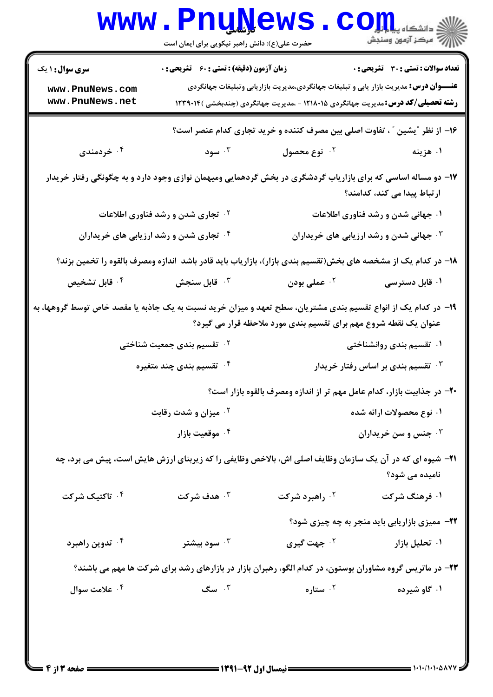|                                                                                                                                                                                    | <b>WWW.PNUWEWS</b><br>حضرت علی(ع): دانش راهبر نیکویی برای ایمان است                                           |                                                                                                                                                                                          | $COJJL$ انشڪاه پيا<br>أأزأت مركز آزمون وسنجش                     |  |
|------------------------------------------------------------------------------------------------------------------------------------------------------------------------------------|---------------------------------------------------------------------------------------------------------------|------------------------------------------------------------------------------------------------------------------------------------------------------------------------------------------|------------------------------------------------------------------|--|
| <b>سری سوال : ۱ یک</b><br>www.PnuNews.com<br>www.PnuNews.net                                                                                                                       | <b>زمان آزمون (دقیقه) : تستی : 60 ٪ تشریحی : 0</b>                                                            | <b>عنــــوان درس:</b> مدیریت بازار یابی و تبلیغات جهانگردی،مدیریت بازاریابی وتبلیغات جهانگردی<br><b>رشته تحصیلی/کد درس:</b> مدیریت جهانگردی ۱۲۱۸۰۱۵ - ،مدیریت جهانگردی (چندبخشی )۱۲۳۹۰۱۴ | <b>تعداد سوالات : تستی : 30 ٪ تشریحی : 0</b>                     |  |
| ۰۴ خردمندی                                                                                                                                                                         | ۰۳ سود                                                                                                        | ۱۶– از نظر ″یشین ″ ، تفاوت اصلی بین مصرف کننده و خرید تجاری کدام عنصر است؟<br>۰۲ نوع محصول                                                                                               | ۰۱ هزینه                                                         |  |
|                                                                                                                                                                                    | ۱۷– دو مساله اساسی که برای بازاریاب گردشگری در بخش گردهمایی ومیهمان نوازی وجود دارد و به چگونگی رفتار خریدار  |                                                                                                                                                                                          |                                                                  |  |
|                                                                                                                                                                                    | <sup>۰۲</sup> تجاری شدن و رشد فناوری اطلاعات                                                                  |                                                                                                                                                                                          | ارتباط پیدا می کند، کدامند؟<br>۰۱ جهانی شدن و رشد فناوری اطلاعات |  |
| <sup>۰۴</sup> تجاری شدن و رشد ارزیابی های خریداران<br>۰۳ جهانی شدن و رشد ارزیابی های خریداران                                                                                      |                                                                                                               |                                                                                                                                                                                          |                                                                  |  |
|                                                                                                                                                                                    | ۱۸– در کدام یک از مشخصه های بخش(تقسیم بندی بازار)، بازاریاب باید قادر باشد آندازه ومصرف بالقوه را تخمین بزند؟ |                                                                                                                                                                                          |                                                                  |  |
| ۰۴ قابل تشخیص                                                                                                                                                                      | ات قابل سنجش $\cdot$                                                                                          | ۰ <sup>۲</sup> عملی بودن                                                                                                                                                                 | ۰۱ قابل دسترسی                                                   |  |
| ۱۹– در کدام یک از انواع تقسیم بندی مشتریان، سطح تعهد و میزان خرید نسبت به یک جاذبه یا مقصد خاص توسط گروهها، به<br>عنوان یک نقطه شروع مهم برای تقسیم بندی مورد ملاحظه قرار می گیرد؟ |                                                                                                               |                                                                                                                                                                                          |                                                                  |  |
|                                                                                                                                                                                    | ۲.  تقسیم بندی جمعیت شناختی                                                                                   |                                                                                                                                                                                          | ۰۱ تقسیم بندی روانشناختی                                         |  |
|                                                                                                                                                                                    | ۰۴ تقسیم بندی چند متغیره                                                                                      |                                                                                                                                                                                          | تقسیم بندی بر اساس رفتار خریدار $\cdot$                          |  |
|                                                                                                                                                                                    |                                                                                                               | ۲۰- در جذابیت بازار، کدام عامل مهم تر از اندازه ومصرف بالقوه بازار است؟                                                                                                                  |                                                                  |  |
|                                                                                                                                                                                    | <sup>۲</sup> ۰ میزان و شدت رقابت                                                                              | ۰۱ نوع محصولات ارائه شده                                                                                                                                                                 |                                                                  |  |
|                                                                                                                                                                                    | ۰۴ موقعیت بازار                                                                                               |                                                                                                                                                                                          | جنس و سن خریداران $\cdot$                                        |  |
| <b>۲۱</b> - شیوه ای که در آن یک سازمان وظایف اصلی اش، بالاخص وظایفی را که زیربنای ارزش هایش است، پیش می برد، چه<br>نامیده می شود؟                                                  |                                                                                                               |                                                                                                                                                                                          |                                                                  |  |
| ۰ <sup>۴</sup> تاکتیک شرکت                                                                                                                                                         | ۰۳ هدف شرکت                                                                                                   | ۰ <sup>۲</sup> راهبرد شرکت                                                                                                                                                               | ۰۱ فرهنگ شرکت                                                    |  |
|                                                                                                                                                                                    |                                                                                                               |                                                                                                                                                                                          | <b>۲۲-</b> ممیزی بازاریابی باید منجر به چه چیزی شود؟             |  |
| ۰۴ تدوین راهبرد                                                                                                                                                                    | سود بیشتر $\cdot^{\mathsf{v}}$                                                                                | ۰ <sup>۲</sup> جهت گیری                                                                                                                                                                  | ۰۱ تحلیل بازار                                                   |  |
| ۲۳- در ماتریس گروه مشاوران بوستون، در کدام الگو، رهبران بازار در بازارهای رشد برای شرکت ها مهم می باشند؟                                                                           |                                                                                                               |                                                                                                                                                                                          |                                                                  |  |
| ۰ <sup>۴</sup> علامت سوال                                                                                                                                                          | $\mathfrak{r}$ . سگ                                                                                           | ۰ <sup>۲</sup> ستاره                                                                                                                                                                     | ۰۱ گاو شیرده                                                     |  |
|                                                                                                                                                                                    |                                                                                                               |                                                                                                                                                                                          |                                                                  |  |
|                                                                                                                                                                                    |                                                                                                               |                                                                                                                                                                                          |                                                                  |  |
|                                                                                                                                                                                    |                                                                                                               |                                                                                                                                                                                          |                                                                  |  |

 $= 1.1 - 11.1 - 011$